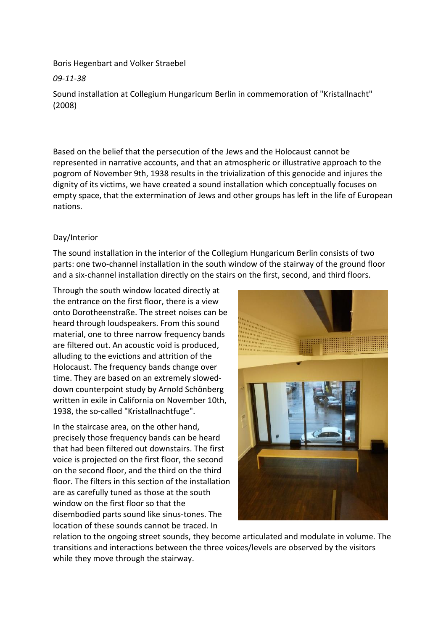Boris Hegenbart and Volker Straebel

*09-11-38*

Sound installation at Collegium Hungaricum Berlin in commemoration of "Kristallnacht" (2008)

Based on the belief that the persecution of the Jews and the Holocaust cannot be represented in narrative accounts, and that an atmospheric or illustrative approach to the pogrom of November 9th, 1938 results in the trivialization of this genocide and injures the dignity of its victims, we have created a sound installation which conceptually focuses on empty space, that the extermination of Jews and other groups has left in the life of European nations.

## Day/Interior

The sound installation in the interior of the Collegium Hungaricum Berlin consists of two parts: one two-channel installation in the south window of the stairway of the ground floor and a six-channel installation directly on the stairs on the first, second, and third floors.

Through the south window located directly at the entrance on the first floor, there is a view onto Dorotheenstraße. The street noises can be heard through loudspeakers. From this sound material, one to three narrow frequency bands are filtered out. An acoustic void is produced, alluding to the evictions and attrition of the Holocaust. The frequency bands change over time. They are based on an extremely sloweddown counterpoint study by Arnold Schönberg written in exile in California on November 10th, 1938, the so-called "Kristallnachtfuge".

In the staircase area, on the other hand, precisely those frequency bands can be heard that had been filtered out downstairs. The first voice is projected on the first floor, the second on the second floor, and the third on the third floor. The filters in this section of the installation are as carefully tuned as those at the south window on the first floor so that the disembodied parts sound like sinus-tones. The location of these sounds cannot be traced. In



relation to the ongoing street sounds, they become articulated and modulate in volume. The transitions and interactions between the three voices/levels are observed by the visitors while they move through the stairway.